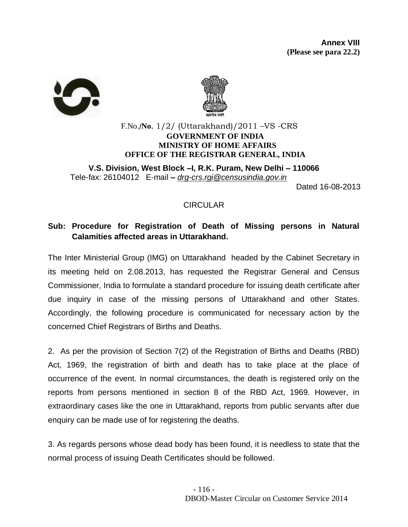



## F.No./**No**. 1/2/ (Uttarakhand)/2011 –VS -CRS **GOVERNMENT OF INDIA MINISTRY OF HOME AFFAIRS OFFICE OF THE REGISTRAR GENERAL, INDIA**

**V.S. Division, West Block –I, R.K. Puram, New Delhi – 110066** Tele-fax: 26104012 E-mail **–** *[drg-crs.rgi@censusindia.gov.in](mailto:drg-crs.rgi@censusindia.gov.in)*

Dated 16-08-2013

# **CIRCULAR**

# **Sub: Procedure for Registration of Death of Missing persons in Natural Calamities affected areas in Uttarakhand.**

The Inter Ministerial Group (IMG) on Uttarakhand headed by the Cabinet Secretary in its meeting held on 2.08.2013, has requested the Registrar General and Census Commissioner, India to formulate a standard procedure for issuing death certificate after due inquiry in case of the missing persons of Uttarakhand and other States. Accordingly, the following procedure is communicated for necessary action by the concerned Chief Registrars of Births and Deaths.

2. As per the provision of Section 7(2) of the Registration of Births and Deaths (RBD) Act, 1969, the registration of birth and death has to take place at the place of occurrence of the event. In normal circumstances, the death is registered only on the reports from persons mentioned in section 8 of the RBD Act, 1969. However, in extraordinary cases like the one in Uttarakhand, reports from public servants after due enquiry can be made use of for registering the deaths.

3. As regards persons whose dead body has been found, it is needless to state that the normal process of issuing Death Certificates should be followed.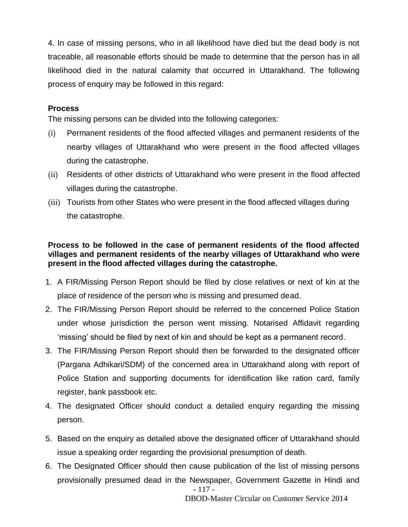4. In case of missing persons, who in all likelihood have died but the dead body is not traceable, all reasonable efforts should be made to determine that the person has in all likelihood died in the natural calamity that occurred in Uttarakhand. The following process of enquiry may be followed in this regard:

#### **Process**

The missing persons can be divided into the following categories:

- (i) Permanent residents of the flood affected villages and permanent residents of the nearby villages of Uttarakhand who were present in the flood affected villages during the catastrophe.
- (ii) Residents of other districts of Uttarakhand who were present in the flood affected villages during the catastrophe.
- (iii) Tourists from other States who were present in the flood affected villages during the catastrophe.

## **Process to be followed in the case of permanent residents of the flood affected villages and permanent residents of the nearby villages of Uttarakhand who were present in the flood affected villages during the catastrophe.**

- 1. A FIR/Missing Person Report should be filed by close relatives or next of kin at the place of residence of the person who is missing and presumed dead.
- 2. The FIR/Missing Person Report should be referred to the concerned Police Station under whose jurisdiction the person went missing. Notarised Affidavit regarding 'missing' should be filed by next of kin and should be kept as a permanent record.
- 3. The FIR/Missing Person Report should then be forwarded to the designated officer (Pargana Adhikari/SDM) of the concerned area in Uttarakhand along with report of Police Station and supporting documents for identification like ration card, family register, bank passbook etc.
- 4. The designated Officer should conduct a detailed enquiry regarding the missing person.
- 5. Based on the enquiry as detailed above the designated officer of Uttarakhand should issue a speaking order regarding the provisional presumption of death.
- 117 6. The Designated Officer should then cause publication of the list of missing persons provisionally presumed dead in the Newspaper, Government Gazette in Hindi and

DBOD-Master Circular on Customer Service 2014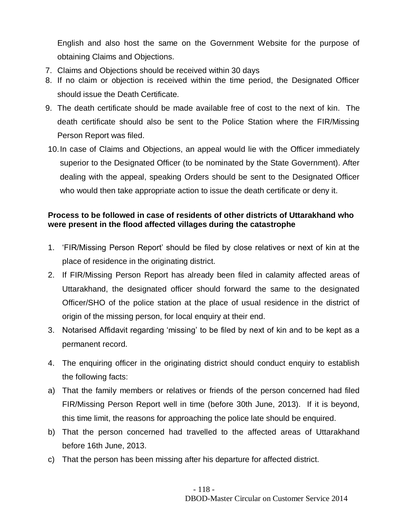English and also host the same on the Government Website for the purpose of obtaining Claims and Objections.

- 7. Claims and Objections should be received within 30 days
- 8. If no claim or objection is received within the time period, the Designated Officer should issue the Death Certificate.
- 9. The death certificate should be made available free of cost to the next of kin. The death certificate should also be sent to the Police Station where the FIR/Missing Person Report was filed.
- 10.In case of Claims and Objections, an appeal would lie with the Officer immediately superior to the Designated Officer (to be nominated by the State Government). After dealing with the appeal, speaking Orders should be sent to the Designated Officer who would then take appropriate action to issue the death certificate or deny it.

## **Process to be followed in case of residents of other districts of Uttarakhand who were present in the flood affected villages during the catastrophe**

- 1. 'FIR/Missing Person Report' should be filed by close relatives or next of kin at the place of residence in the originating district.
- 2. If FIR/Missing Person Report has already been filed in calamity affected areas of Uttarakhand, the designated officer should forward the same to the designated Officer/SHO of the police station at the place of usual residence in the district of origin of the missing person, for local enquiry at their end.
- 3. Notarised Affidavit regarding 'missing' to be filed by next of kin and to be kept as a permanent record.
- 4. The enquiring officer in the originating district should conduct enquiry to establish the following facts:
- a) That the family members or relatives or friends of the person concerned had filed FIR/Missing Person Report well in time (before 30th June, 2013). If it is beyond, this time limit, the reasons for approaching the police late should be enquired.
- b) That the person concerned had travelled to the affected areas of Uttarakhand before 16th June, 2013.
- c) That the person has been missing after his departure for affected district.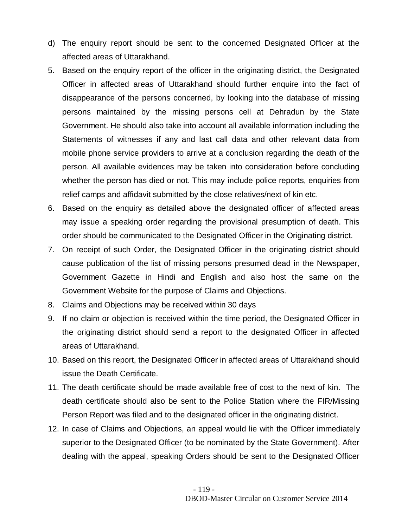- d) The enquiry report should be sent to the concerned Designated Officer at the affected areas of Uttarakhand.
- 5. Based on the enquiry report of the officer in the originating district, the Designated Officer in affected areas of Uttarakhand should further enquire into the fact of disappearance of the persons concerned, by looking into the database of missing persons maintained by the missing persons cell at Dehradun by the State Government. He should also take into account all available information including the Statements of witnesses if any and last call data and other relevant data from mobile phone service providers to arrive at a conclusion regarding the death of the person. All available evidences may be taken into consideration before concluding whether the person has died or not. This may include police reports, enquiries from relief camps and affidavit submitted by the close relatives/next of kin etc.
- 6. Based on the enquiry as detailed above the designated officer of affected areas may issue a speaking order regarding the provisional presumption of death. This order should be communicated to the Designated Officer in the Originating district.
- 7. On receipt of such Order, the Designated Officer in the originating district should cause publication of the list of missing persons presumed dead in the Newspaper, Government Gazette in Hindi and English and also host the same on the Government Website for the purpose of Claims and Objections.
- 8. Claims and Objections may be received within 30 days
- 9. If no claim or objection is received within the time period, the Designated Officer in the originating district should send a report to the designated Officer in affected areas of Uttarakhand.
- 10. Based on this report, the Designated Officer in affected areas of Uttarakhand should issue the Death Certificate.
- 11. The death certificate should be made available free of cost to the next of kin. The death certificate should also be sent to the Police Station where the FIR/Missing Person Report was filed and to the designated officer in the originating district.
- 12. In case of Claims and Objections, an appeal would lie with the Officer immediately superior to the Designated Officer (to be nominated by the State Government). After dealing with the appeal, speaking Orders should be sent to the Designated Officer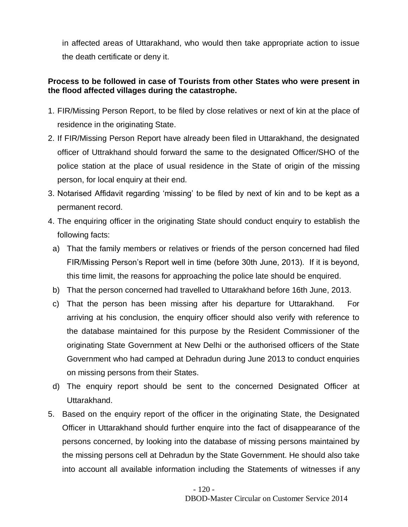in affected areas of Uttarakhand, who would then take appropriate action to issue the death certificate or deny it.

# **Process to be followed in case of Tourists from other States who were present in the flood affected villages during the catastrophe.**

- 1. FIR/Missing Person Report, to be filed by close relatives or next of kin at the place of residence in the originating State.
- 2. If FIR/Missing Person Report have already been filed in Uttarakhand, the designated officer of Uttrakhand should forward the same to the designated Officer/SHO of the police station at the place of usual residence in the State of origin of the missing person, for local enquiry at their end.
- 3. Notarised Affidavit regarding 'missing' to be filed by next of kin and to be kept as a permanent record.
- 4. The enquiring officer in the originating State should conduct enquiry to establish the following facts:
	- a) That the family members or relatives or friends of the person concerned had filed FIR/Missing Person's Report well in time (before 30th June, 2013). If it is beyond, this time limit, the reasons for approaching the police late should be enquired.
	- b) That the person concerned had travelled to Uttarakhand before 16th June, 2013.
	- c) That the person has been missing after his departure for Uttarakhand. For arriving at his conclusion, the enquiry officer should also verify with reference to the database maintained for this purpose by the Resident Commissioner of the originating State Government at New Delhi or the authorised officers of the State Government who had camped at Dehradun during June 2013 to conduct enquiries on missing persons from their States.
- d) The enquiry report should be sent to the concerned Designated Officer at Uttarakhand.
- 5. Based on the enquiry report of the officer in the originating State, the Designated Officer in Uttarakhand should further enquire into the fact of disappearance of the persons concerned, by looking into the database of missing persons maintained by the missing persons cell at Dehradun by the State Government. He should also take into account all available information including the Statements of witnesses if any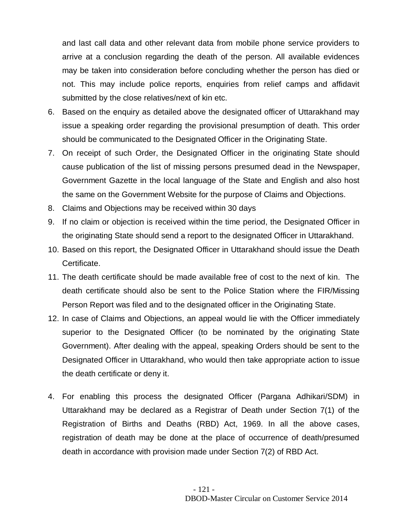and last call data and other relevant data from mobile phone service providers to arrive at a conclusion regarding the death of the person. All available evidences may be taken into consideration before concluding whether the person has died or not. This may include police reports, enquiries from relief camps and affidavit submitted by the close relatives/next of kin etc.

- 6. Based on the enquiry as detailed above the designated officer of Uttarakhand may issue a speaking order regarding the provisional presumption of death. This order should be communicated to the Designated Officer in the Originating State.
- 7. On receipt of such Order, the Designated Officer in the originating State should cause publication of the list of missing persons presumed dead in the Newspaper, Government Gazette in the local language of the State and English and also host the same on the Government Website for the purpose of Claims and Objections.
- 8. Claims and Objections may be received within 30 days
- 9. If no claim or objection is received within the time period, the Designated Officer in the originating State should send a report to the designated Officer in Uttarakhand.
- 10. Based on this report, the Designated Officer in Uttarakhand should issue the Death Certificate.
- 11. The death certificate should be made available free of cost to the next of kin. The death certificate should also be sent to the Police Station where the FIR/Missing Person Report was filed and to the designated officer in the Originating State.
- 12. In case of Claims and Objections, an appeal would lie with the Officer immediately superior to the Designated Officer (to be nominated by the originating State Government). After dealing with the appeal, speaking Orders should be sent to the Designated Officer in Uttarakhand, who would then take appropriate action to issue the death certificate or deny it.
- 4. For enabling this process the designated Officer (Pargana Adhikari/SDM) in Uttarakhand may be declared as a Registrar of Death under Section 7(1) of the Registration of Births and Deaths (RBD) Act, 1969. In all the above cases, registration of death may be done at the place of occurrence of death/presumed death in accordance with provision made under Section 7(2) of RBD Act.